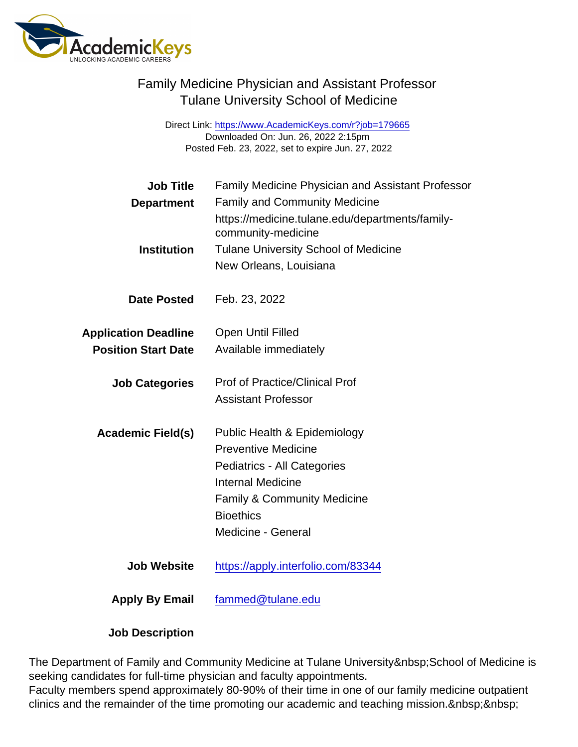Direct Link: <https://www.AcademicKeys.com/r?job=179665> Downloaded On: Jun. 26, 2022 2:15pm Posted Feb. 23, 2022, set to expire Jun. 27, 2022

| <b>Job Title</b>            | <b>Family Medicine Physician and Assistant Professor</b>              |
|-----------------------------|-----------------------------------------------------------------------|
| Department                  | <b>Family and Community Medicine</b>                                  |
|                             | https://medicine.tulane.edu/departments/family-<br>community-medicine |
| Institution                 | <b>Tulane University School of Medicine</b>                           |
|                             | New Orleans, Louisiana                                                |
| Date Posted                 | Feb. 23, 2022                                                         |
| <b>Application Deadline</b> | <b>Open Until Filled</b>                                              |
| <b>Position Start Date</b>  | Available immediately                                                 |
| <b>Job Categories</b>       | <b>Prof of Practice/Clinical Prof</b>                                 |
|                             | <b>Assistant Professor</b>                                            |
| Academic Field(s)           | Public Health & Epidemiology                                          |
|                             | <b>Preventive Medicine</b>                                            |
|                             | Pediatrics - All Categories                                           |
|                             | <b>Internal Medicine</b>                                              |
|                             | <b>Family &amp; Community Medicine</b>                                |
|                             | <b>Bioethics</b>                                                      |
|                             | Medicine - General                                                    |
| <b>Job Website</b>          | https://apply.interfolio.com/83344                                    |
| Apply By Email              | fammed@tulane.edu                                                     |

Job Description

The Department of Family and Community Medicine at Tulane University School of Medicine is seeking candidates for full-time physician and faculty appointments.

Faculty members spend approximately 80-90% of their time in one of our family medicine outpatient clinics and the remainder of the time promoting our academic and teaching mission.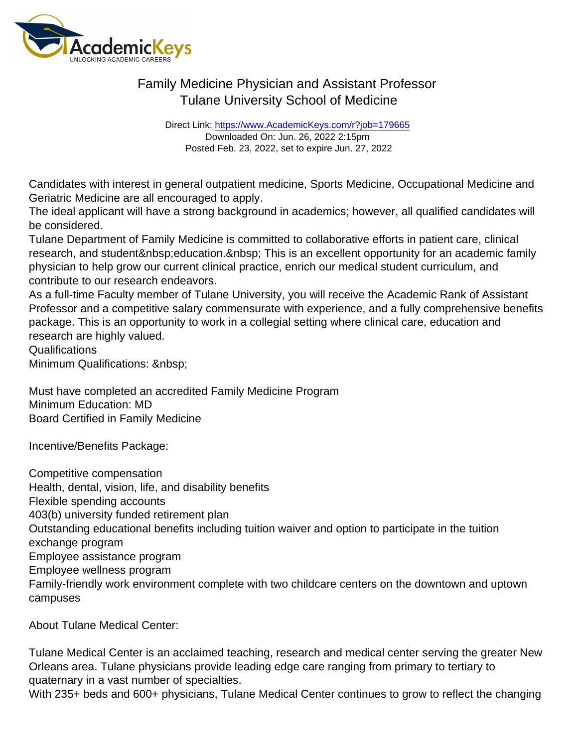Direct Link: <https://www.AcademicKeys.com/r?job=179665> Downloaded On: Jun. 26, 2022 2:15pm Posted Feb. 23, 2022, set to expire Jun. 27, 2022

Candidates with interest in general outpatient medicine, Sports Medicine, Occupational Medicine and Geriatric Medicine are all encouraged to apply.

The ideal applicant will have a strong background in academics; however, all qualified candidates will be considered.

Tulane Department of Family Medicine is committed to collaborative efforts in patient care, clinical research, and student education. This is an excellent opportunity for an academic family physician to help grow our current clinical practice, enrich our medical student curriculum, and contribute to our research endeavors.

As a full-time Faculty member of Tulane University, you will receive the Academic Rank of Assistant Professor and a competitive salary commensurate with experience, and a fully comprehensive benefits package. This is an opportunity to work in a collegial setting where clinical care, education and research are highly valued.

Qualifications

Minimum Qualifications:

Must have completed an accredited Family Medicine Program Minimum Education: MD Board Certified in Family Medicine

Incentive/Benefits Package:

Competitive compensation Health, dental, vision, life, and disability benefits Flexible spending accounts 403(b) university funded retirement plan Outstanding educational benefits including tuition waiver and option to participate in the tuition exchange program Employee assistance program Employee wellness program Family-friendly work environment complete with two childcare centers on the downtown and uptown campuses

About Tulane Medical Center:

Tulane Medical Center is an acclaimed teaching, research and medical center serving the greater New Orleans area. Tulane physicians provide leading edge care ranging from primary to tertiary to quaternary in a vast number of specialties. With 235+ beds and 600+ physicians, Tulane Medical Center continues to grow to reflect the changing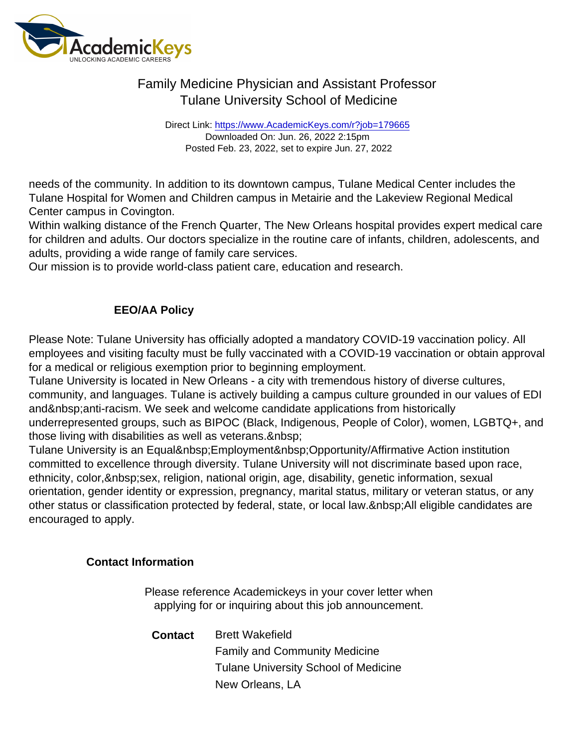Direct Link: <https://www.AcademicKeys.com/r?job=179665> Downloaded On: Jun. 26, 2022 2:15pm Posted Feb. 23, 2022, set to expire Jun. 27, 2022

needs of the community. In addition to its downtown campus, Tulane Medical Center includes the Tulane Hospital for Women and Children campus in Metairie and the Lakeview Regional Medical Center campus in Covington.

Within walking distance of the French Quarter, The New Orleans hospital provides expert medical care for children and adults. Our doctors specialize in the routine care of infants, children, adolescents, and adults, providing a wide range of family care services.

Our mission is to provide world-class patient care, education and research.

#### EEO/AA Policy

Please Note: Tulane University has officially adopted a mandatory COVID-19 vaccination policy. All employees and visiting faculty must be fully vaccinated with a COVID-19 vaccination or obtain approval for a medical or religious exemption prior to beginning employment.

Tulane University is located in New Orleans - a city with tremendous history of diverse cultures, community, and languages. Tulane is actively building a campus culture grounded in our values of EDI and anti-racism. We seek and welcome candidate applications from historically underrepresented groups, such as BIPOC (Black, Indigenous, People of Color), women, LGBTQ+, and those living with disabilities as well as veterans.

Tulane University is an Equal Employment Opportunity/Affirmative Action institution committed to excellence through diversity. Tulane University will not discriminate based upon race, ethnicity, color, sex, religion, national origin, age, disability, genetic information, sexual orientation, gender identity or expression, pregnancy, marital status, military or veteran status, or any other status or classification protected by federal, state, or local law. All eligible candidates are encouraged to apply.

Contact Information

Please reference Academickeys in your cover letter when applying for or inquiring about this job announcement.

Contact Brett Wakefield Family and Community Medicine Tulane University School of Medicine New Orleans, LA